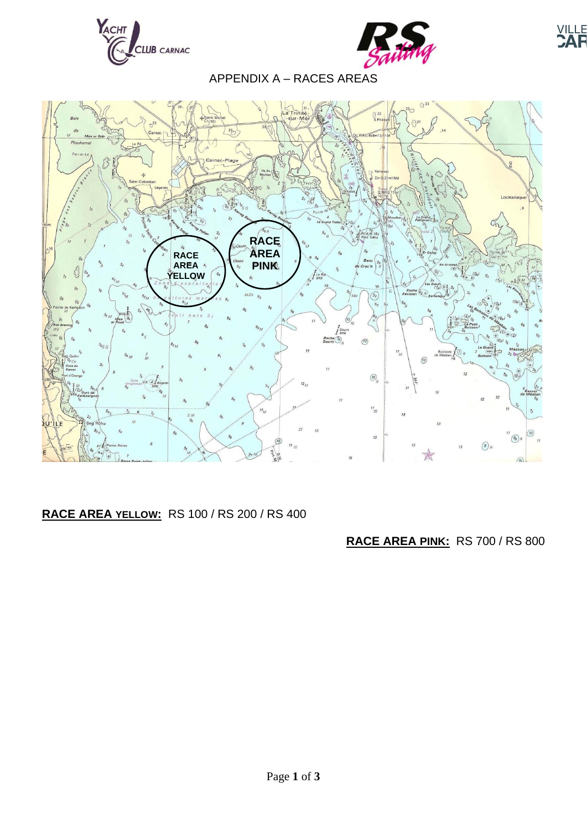



**YILLE**<br>CAF

## APPENDIX A – RACES AREAS



## **RACE AREA YELLOW:** RS 100 / RS 200 / RS 400

## **RACE AREA PINK:** RS 700 / RS 800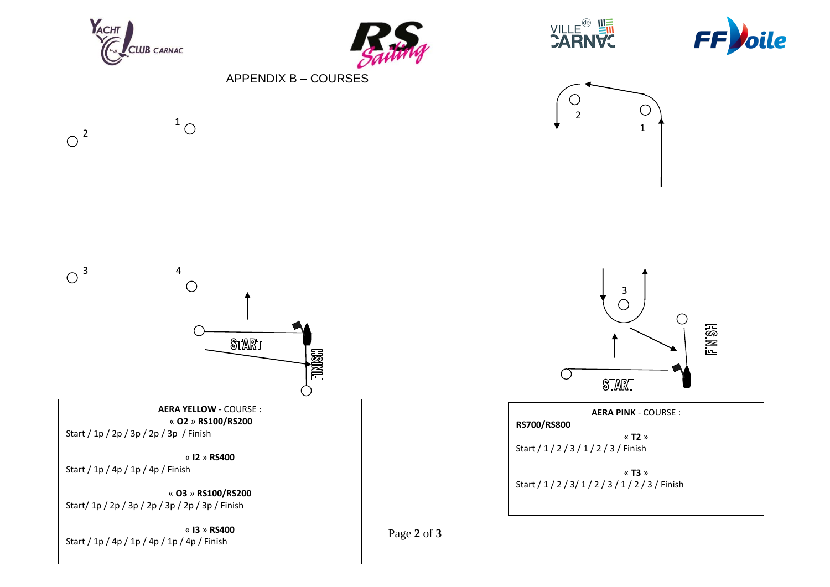